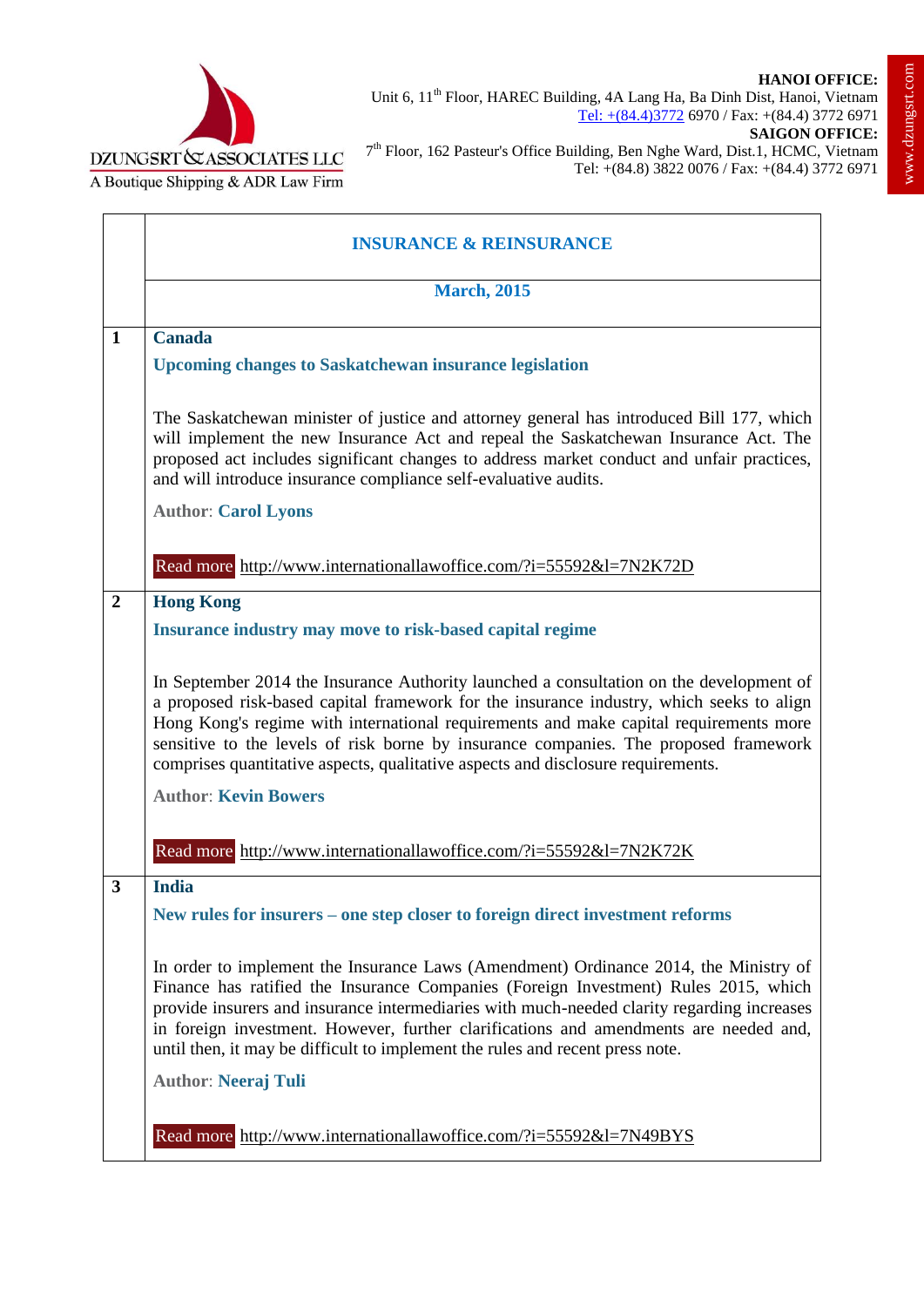

٦



 $\mathbf{r}$ 

|                | <b>INSURANCE &amp; REINSURANCE</b>                                                                                                                                                                                                                                                                                                                                                                                                                                                |
|----------------|-----------------------------------------------------------------------------------------------------------------------------------------------------------------------------------------------------------------------------------------------------------------------------------------------------------------------------------------------------------------------------------------------------------------------------------------------------------------------------------|
|                | <b>March, 2015</b>                                                                                                                                                                                                                                                                                                                                                                                                                                                                |
| $\mathbf{1}$   | <b>Canada</b>                                                                                                                                                                                                                                                                                                                                                                                                                                                                     |
|                | <b>Upcoming changes to Saskatchewan insurance legislation</b>                                                                                                                                                                                                                                                                                                                                                                                                                     |
|                | The Saskatchewan minister of justice and attorney general has introduced Bill 177, which<br>will implement the new Insurance Act and repeal the Saskatchewan Insurance Act. The<br>proposed act includes significant changes to address market conduct and unfair practices,<br>and will introduce insurance compliance self-evaluative audits.<br><b>Author: Carol Lyons</b>                                                                                                     |
|                | Read more http://www.internationallawoffice.com/?i=55592&l=7N2K72D                                                                                                                                                                                                                                                                                                                                                                                                                |
| $\overline{2}$ | <b>Hong Kong</b>                                                                                                                                                                                                                                                                                                                                                                                                                                                                  |
|                | Insurance industry may move to risk-based capital regime                                                                                                                                                                                                                                                                                                                                                                                                                          |
|                | In September 2014 the Insurance Authority launched a consultation on the development of<br>a proposed risk-based capital framework for the insurance industry, which seeks to align<br>Hong Kong's regime with international requirements and make capital requirements more<br>sensitive to the levels of risk borne by insurance companies. The proposed framework<br>comprises quantitative aspects, qualitative aspects and disclosure requirements.                          |
|                | <b>Author: Kevin Bowers</b>                                                                                                                                                                                                                                                                                                                                                                                                                                                       |
|                | Read more http://www.internationallawoffice.com/?i=55592&l=7N2K72K                                                                                                                                                                                                                                                                                                                                                                                                                |
| 3              | <b>India</b>                                                                                                                                                                                                                                                                                                                                                                                                                                                                      |
|                | New rules for insurers – one step closer to foreign direct investment reforms                                                                                                                                                                                                                                                                                                                                                                                                     |
|                | In order to implement the Insurance Laws (Amendment) Ordinance 2014, the Ministry of<br>Finance has ratified the Insurance Companies (Foreign Investment) Rules 2015, which<br>provide insurers and insurance intermediaries with much-needed clarity regarding increases<br>in foreign investment. However, further clarifications and amendments are needed and,<br>until then, it may be difficult to implement the rules and recent press note.<br><b>Author: Neeraj Tuli</b> |
|                |                                                                                                                                                                                                                                                                                                                                                                                                                                                                                   |
|                | Read more http://www.internationallawoffice.com/?i=55592&l=7N49BYS                                                                                                                                                                                                                                                                                                                                                                                                                |